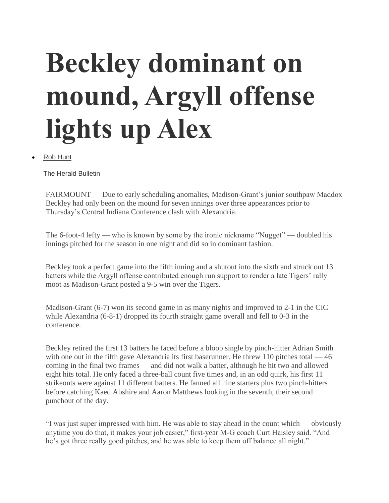## **Beckley dominant on mound, Argyll offense lights up Alex**

[Rob Hunt](https://www.heraldbulletin.com/users/profile/Rob%20Hunt)

[The Herald Bulletin](https://www.heraldbulletin.com/users/profile/Rob%20Hunt)

FAIRMOUNT — Due to early scheduling anomalies, Madison-Grant's junior southpaw Maddox Beckley had only been on the mound for seven innings over three appearances prior to Thursday's Central Indiana Conference clash with Alexandria.

The 6-foot-4 lefty — who is known by some by the ironic nickname "Nugget" — doubled his innings pitched for the season in one night and did so in dominant fashion.

Beckley took a perfect game into the fifth inning and a shutout into the sixth and struck out 13 batters while the Argyll offense contributed enough run support to render a late Tigers' rally moot as Madison-Grant posted a 9-5 win over the Tigers.

Madison-Grant (6-7) won its second game in as many nights and improved to 2-1 in the CIC while Alexandria (6-8-1) dropped its fourth straight game overall and fell to 0-3 in the conference.

Beckley retired the first 13 batters he faced before a bloop single by pinch-hitter Adrian Smith with one out in the fifth gave Alexandria its first baserunner. He threw 110 pitches total  $-46$ coming in the final two frames — and did not walk a batter, although he hit two and allowed eight hits total. He only faced a three-ball count five times and, in an odd quirk, his first 11 strikeouts were against 11 different batters. He fanned all nine starters plus two pinch-hitters before catching Kaed Abshire and Aaron Matthews looking in the seventh, their second punchout of the day.

"I was just super impressed with him. He was able to stay ahead in the count which — obviously anytime you do that, it makes your job easier," first-year M-G coach Curt Haisley said. "And he's got three really good pitches, and he was able to keep them off balance all night."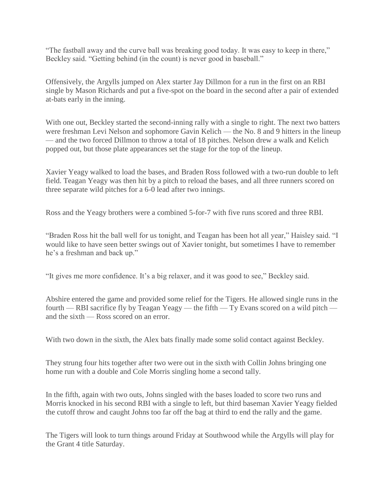"The fastball away and the curve ball was breaking good today. It was easy to keep in there," Beckley said. "Getting behind (in the count) is never good in baseball."

Offensively, the Argylls jumped on Alex starter Jay Dillmon for a run in the first on an RBI single by Mason Richards and put a five-spot on the board in the second after a pair of extended at-bats early in the inning.

With one out, Beckley started the second-inning rally with a single to right. The next two batters were freshman Levi Nelson and sophomore Gavin Kelich — the No. 8 and 9 hitters in the lineup — and the two forced Dillmon to throw a total of 18 pitches. Nelson drew a walk and Kelich popped out, but those plate appearances set the stage for the top of the lineup.

Xavier Yeagy walked to load the bases, and Braden Ross followed with a two-run double to left field. Teagan Yeagy was then hit by a pitch to reload the bases, and all three runners scored on three separate wild pitches for a 6-0 lead after two innings.

Ross and the Yeagy brothers were a combined 5-for-7 with five runs scored and three RBI.

"Braden Ross hit the ball well for us tonight, and Teagan has been hot all year," Haisley said. "I would like to have seen better swings out of Xavier tonight, but sometimes I have to remember he's a freshman and back up."

"It gives me more confidence. It's a big relaxer, and it was good to see," Beckley said.

Abshire entered the game and provided some relief for the Tigers. He allowed single runs in the fourth — RBI sacrifice fly by Teagan Yeagy — the fifth — Ty Evans scored on a wild pitch and the sixth — Ross scored on an error.

With two down in the sixth, the Alex bats finally made some solid contact against Beckley.

They strung four hits together after two were out in the sixth with Collin Johns bringing one home run with a double and Cole Morris singling home a second tally.

In the fifth, again with two outs, Johns singled with the bases loaded to score two runs and Morris knocked in his second RBI with a single to left, but third baseman Xavier Yeagy fielded the cutoff throw and caught Johns too far off the bag at third to end the rally and the game.

The Tigers will look to turn things around Friday at Southwood while the Argylls will play for the Grant 4 title Saturday.